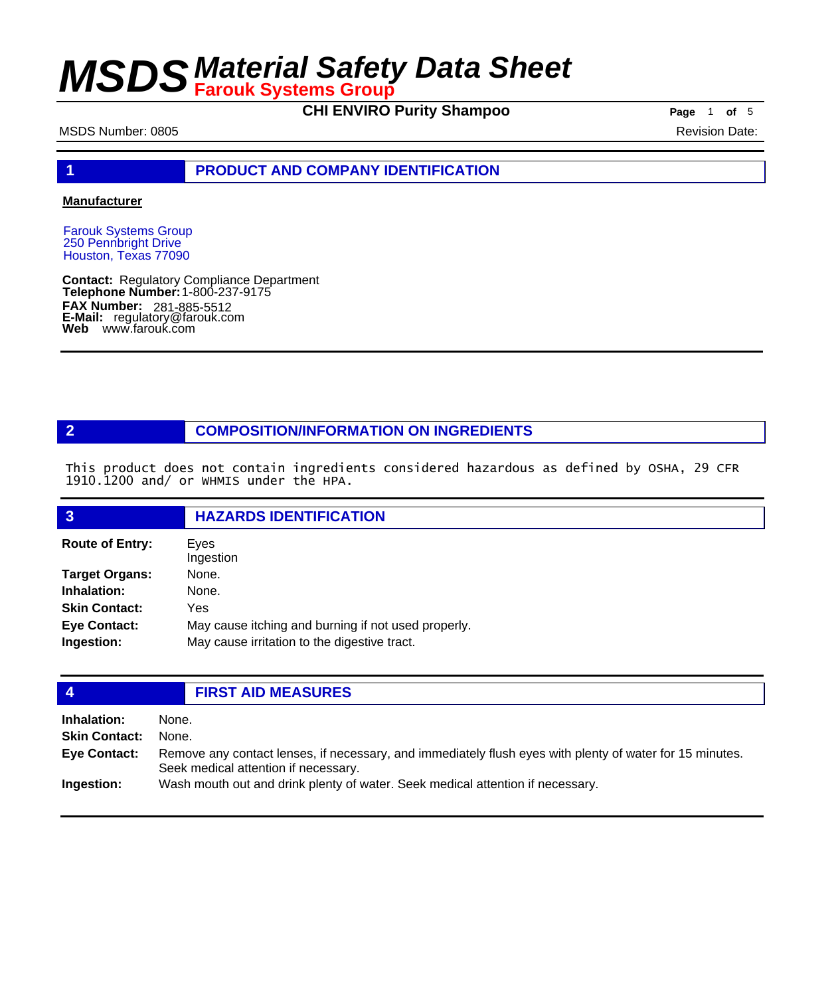**CHI ENVIRO Purity Shampoo Page** 1 **of** 5

#### MSDS Number: 0805 Revision Date: 0805

**1 PRODUCT AND COMPANY IDENTIFICATION**

#### **Manufacturer**

Farouk Systems Group 250 Pennbright Drive Houston, Texas 77090

**Contact: Telephone Number: FAX Number: FAX Number:** 281-885-5512<br>**E-Mail:** regulatory@farouk.com **Web** www.farouk.com Regulatory Compliance Department 1-800-237-9175

#### **2 COMPOSITION/INFORMATION ON INGREDIENTS**

This product does not contain ingredients considered hazardous as defined by OSHA, 29 CFR 1910.1200 and/ or WHMIS under the HPA.

| $\overline{3}$                    | <b>HAZARDS IDENTIFICATION</b>                                                                       |
|-----------------------------------|-----------------------------------------------------------------------------------------------------|
| <b>Route of Entry:</b>            | Eves<br>Ingestion                                                                                   |
| <b>Target Organs:</b>             | None.                                                                                               |
| Inhalation:                       | None.                                                                                               |
| <b>Skin Contact:</b>              | Yes                                                                                                 |
| <b>Eye Contact:</b><br>Ingestion: | May cause itching and burning if not used properly.<br>May cause irritation to the digestive tract. |

#### **4 FIRST AID MEASURES Inhalation:** None. **Skin Contact:** None. Remove any contact lenses, if necessary, and immediately flush eyes with plenty of water for 15 minutes. Seek medical attention if necessary. **Eye Contact: Ingestion:** Wash mouth out and drink plenty of water. Seek medical attention if necessary.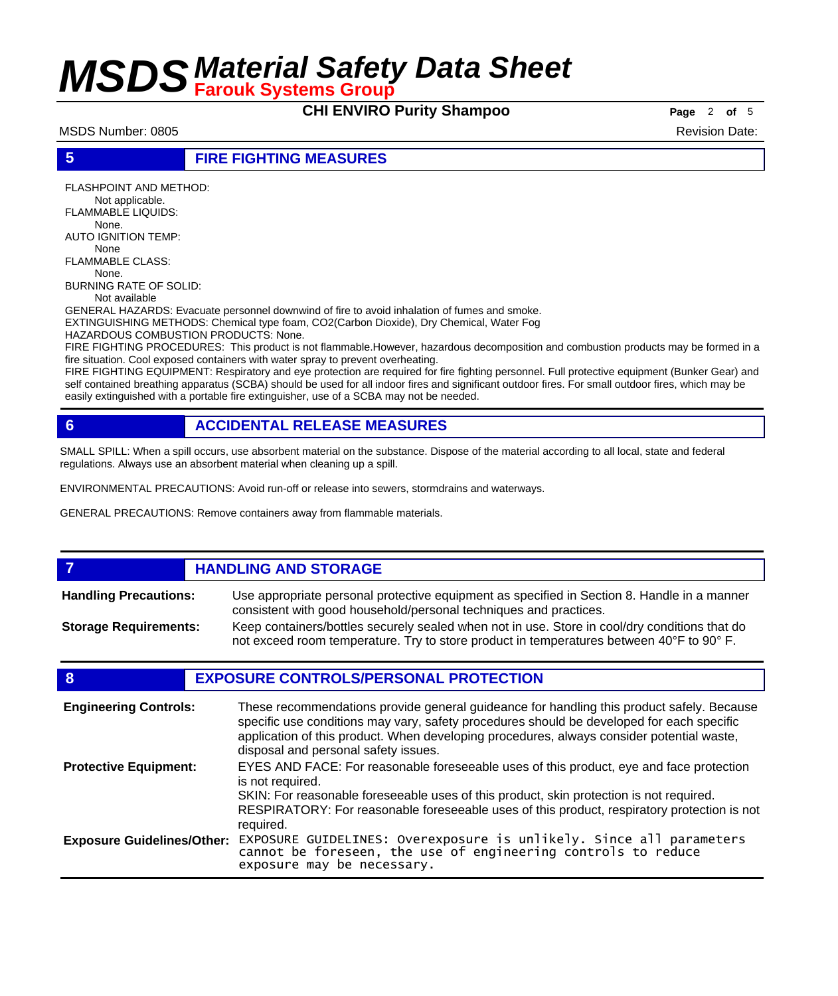### **CHI ENVIRO Purity Shampoo Page** 2 of 5

MSDS Number: 0805 Revision Date: 0805

#### **5 FIRE FIGHTING MEASURES**

FLASHPOINT AND METHOD: Not applicable. FLAMMABLE LIQUIDS: None. AUTO IGNITION TEMP: None FLAMMABLE CLASS: None. BURNING RATE OF SOLID:

Not available

GENERAL HAZARDS: Evacuate personnel downwind of fire to avoid inhalation of fumes and smoke. EXTINGUISHING METHODS: Chemical type foam, CO2(Carbon Dioxide), Dry Chemical, Water Fog

HAZARDOUS COMBUSTION PRODUCTS: None.

FIRE FIGHTING PROCEDURES: This product is not flammable.However, hazardous decomposition and combustion products may be formed in a fire situation. Cool exposed containers with water spray to prevent overheating.

FIRE FIGHTING EQUIPMENT: Respiratory and eye protection are required for fire fighting personnel. Full protective equipment (Bunker Gear) and self contained breathing apparatus (SCBA) should be used for all indoor fires and significant outdoor fires. For small outdoor fires, which may be easily extinguished with a portable fire extinguisher, use of a SCBA may not be needed.

### **6 ACCIDENTAL RELEASE MEASURES**

SMALL SPILL: When a spill occurs, use absorbent material on the substance. Dispose of the material according to all local, state and federal regulations. Always use an absorbent material when cleaning up a spill.

ENVIRONMENTAL PRECAUTIONS: Avoid run-off or release into sewers, stormdrains and waterways.

GENERAL PRECAUTIONS: Remove containers away from flammable materials.

#### *HANDLING AND STORAGE* Use appropriate personal protective equipment as specified in Section 8. Handle in a manner consistent with good household/personal techniques and practices. **Handling Precautions:** Keep containers/bottles securely sealed when not in use. Store in cool/dry conditions that do not exceed room temperature. Try to store product in temperatures between 40°F to 90° F. **Storage Requirements:**

#### **8 EXPOSURE CONTROLS/PERSONAL PROTECTION**

| <b>Engineering Controls:</b>      | These recommendations provide general guideance for handling this product safely. Because<br>specific use conditions may vary, safety procedures should be developed for each specific<br>application of this product. When developing procedures, always consider potential waste,<br>disposal and personal safety issues. |
|-----------------------------------|-----------------------------------------------------------------------------------------------------------------------------------------------------------------------------------------------------------------------------------------------------------------------------------------------------------------------------|
| <b>Protective Equipment:</b>      | EYES AND FACE: For reasonable foreseeable uses of this product, eye and face protection<br>is not required.<br>SKIN: For reasonable foreseeable uses of this product, skin protection is not required.<br>RESPIRATORY: For reasonable foreseeable uses of this product, respiratory protection is not<br>required.          |
| <b>Exposure Guidelines/Other:</b> | EXPOSURE GUIDELINES: Overexposure is unlikely. Since all parameters cannot be foreseen, the use of engineering controls to reduce<br>exposure may be necessary.                                                                                                                                                             |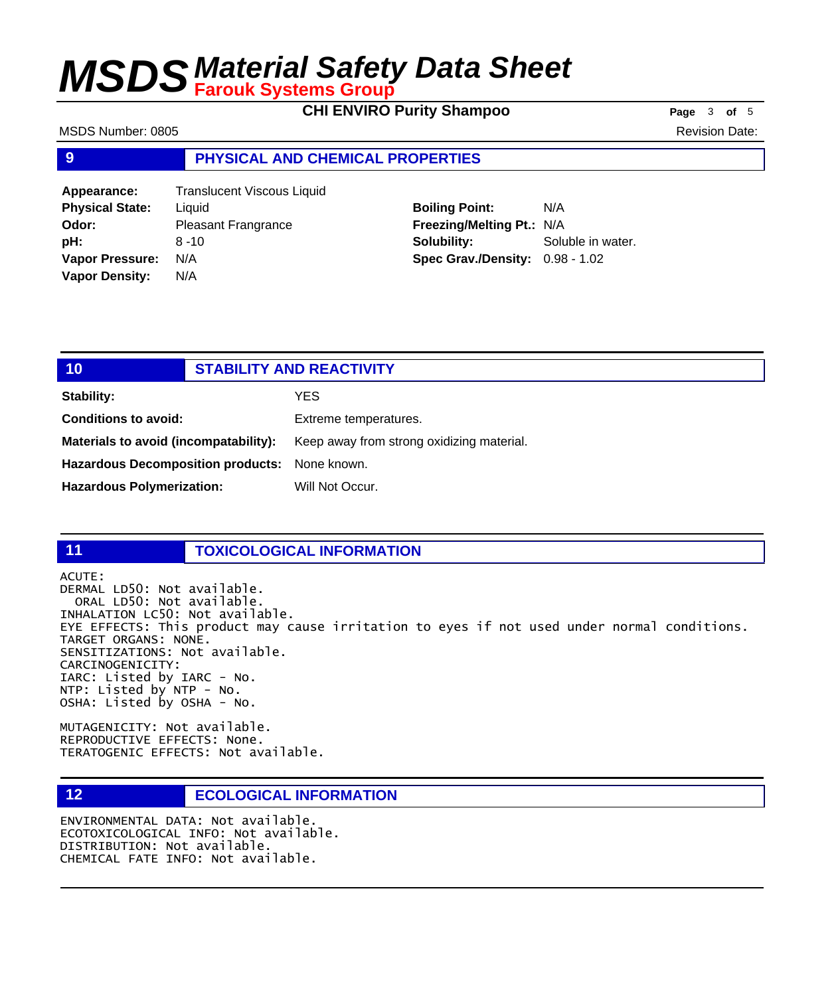**CHI ENVIRO Purity Shampoo Page** 3 of 5

MSDS Number: 0805 Revision Date: 0805

#### **9 PHYSICAL AND CHEMICAL PROPERTIES**

| <b>Translucent Viscous Liquid</b> |
|-----------------------------------|
| Liquid                            |
| <b>Pleasant Frangrance</b>        |
| $8 - 10$                          |
| N/A                               |
| N/A                               |
|                                   |

**Boiling Point:** N/A **Freezing/Melting Pt.:** N/A **Solubility:** Soluble in water. **Spec Grav./Density:** 0.98 - 1.02

### **10 STABILITY AND REACTIVITY Stability:** YES **Conditions to avoid:** Extreme temperatures. Materials to avoid (incompatability): Keep away from strong oxidizing material. **Hazardous Decomposition products:** None known. Hazardous Polymerization: Will Not Occur.

#### **11 TOXICOLOGICAL INFORMATION**

ACUTE:

DERMAL LD50: Not available. ORAL LD50: Not available. INHALATION LC50: Not available. EYE EFFECTS: This product may cause irritation to eyes if not used under normal conditions. TARGET ORGANS: NONE. SENSITIZATIONS: Not available. CARCINOGENICITY: IARC: Listed by IARC - No. NTP: Listed by NTP - No. OSHA: Listed by OSHA - No.

MUTAGENICITY: Not available. REPRODUCTIVE EFFECTS: None. TERATOGENIC EFFECTS: Not available.

#### **12 ECOLOGICAL INFORMATION**

ENVIRONMENTAL DATA: Not available. ECOTOXICOLOGICAL INFO: Not available. DISTRIBUTION: Not available. CHEMICAL FATE INFO: Not available.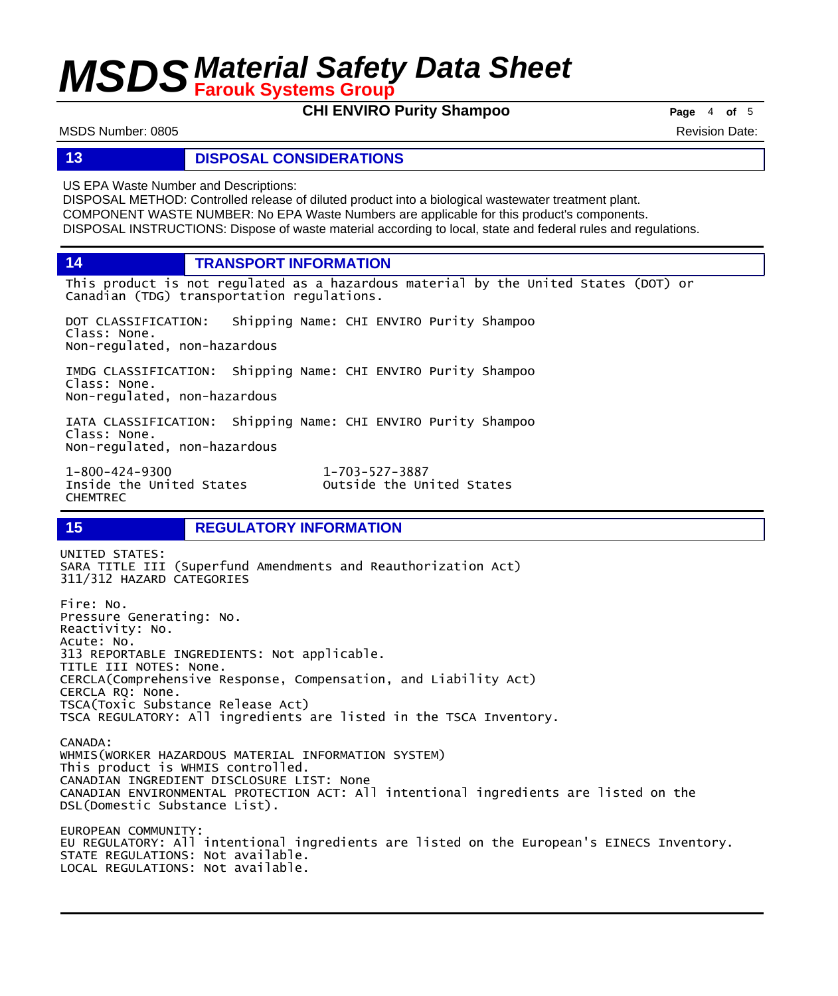**CHI ENVIRO Purity Shampoo Page** <sup>4</sup> **of** <sup>5</sup>

MSDS Number: 0805 Revision Date: 0805

#### **13 DISPOSAL CONSIDERATIONS**

US EPA Waste Number and Descriptions:

DISPOSAL METHOD: Controlled release of diluted product into a biological wastewater treatment plant. COMPONENT WASTE NUMBER: No EPA Waste Numbers are applicable for this product's components. DISPOSAL INSTRUCTIONS: Dispose of waste material according to local, state and federal rules and regulations.

**14 TRANSPORT INFORMATION**

This product is not regulated as a hazardous material by the United States (DOT) or Canadian (TDG) transportation regulations.

DOT CLASSIFICATION: Shipping Name: CHI ENVIRO Purity Shampoo Class: None. Non-regulated, non-hazardous

IMDG CLASSIFICATION: Shipping Name: CHI ENVIRO Purity Shampoo Class: None. Non-regulated, non-hazardous

IATA CLASSIFICATION: Shipping Name: CHI ENVIRO Purity Shampoo Class: None. Non-regulated, non-hazardous

1-800-424-9300 1-703-527-3887 CHEMTREC

Outside the United States

### **15 REGULATORY INFORMATION**

UNITED STATES: SARA TITLE III (Superfund Amendments and Reauthorization Act) 311/312 HAZARD CATEGORIES Fire: No. Pressure Generating: No. Reactivity: No. Acute: No. 313 REPORTABLE INGREDIENTS: Not applicable. TITLE III NOTES: None. CERCLA(Comprehensive Response, Compensation, and Liability Act) CERCLA RQ: None. TSCA(Toxic Substance Release Act) TSCA REGULATORY: All ingredients are listed in the TSCA Inventory. CANADA: WHMIS(WORKER HAZARDOUS MATERIAL INFORMATION SYSTEM) This product is WHMIS controlled. CANADIAN INGREDIENT DISCLOSURE LIST: None CANADIAN ENVIRONMENTAL PROTECTION ACT: All intentional ingredients are listed on the DSL(Domestic Substance List). EUROPEAN COMMUNITY: EU REGULATORY: All intentional ingredients are listed on the European's EINECS Inventory. STATE REGULATIONS: Not available. LOCAL REGULATIONS: Not available.